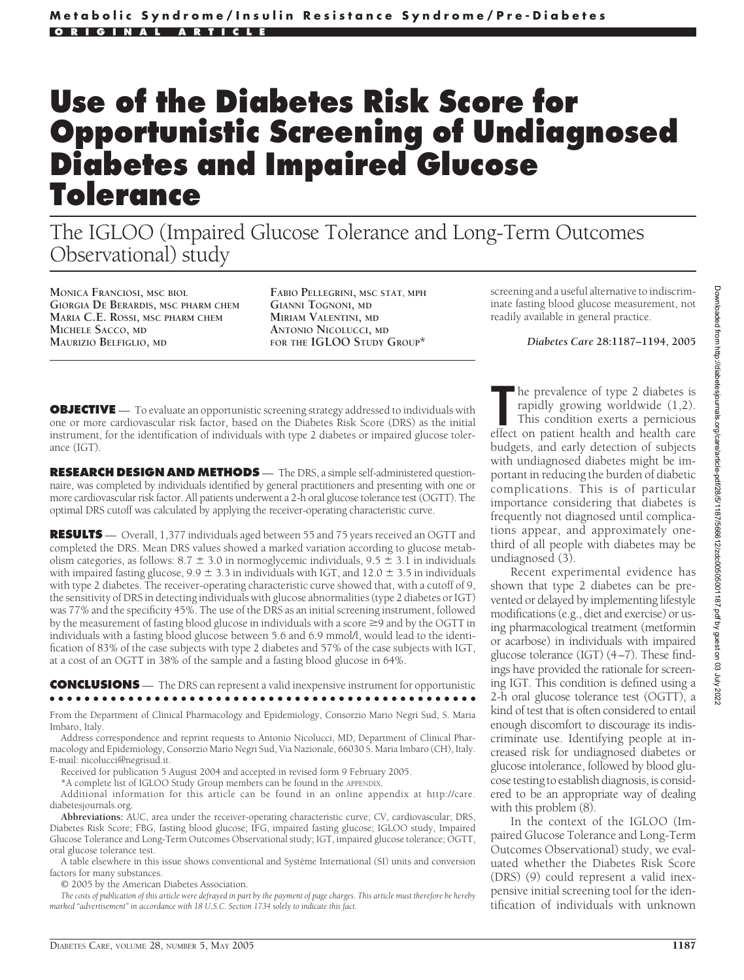# **Use of the Diabetes Risk Score for Opportunistic Screening of Undiagnosed Diabetes and Impaired Glucose Tolerance**

The IGLOO (Impaired Glucose Tolerance and Long-Term Outcomes Observational) study

**MONICA FRANCIOSI, MSC BIOL GIORGIA DE BERARDIS, MSC PHARM CHEM MARIA C.E. ROSSI, MSC PHARM CHEM MICHELE SACCO, MD MAURIZIO BELFIGLIO, MD**

**FABIO PELLEGRINI, MSC STAT, MPH GIANNI TOGNONI, MD MIRIAM VALENTINI, MD ANTONIO NICOLUCCI, MD FOR THE IGLOO STUDY GROUP\***

screening and a useful alternative to indiscriminate fasting blood glucose measurement, not readily available in general practice.

*Diabetes Care* **28:1187–1194, 2005**

**OBJECTIVE** — To evaluate an opportunistic screening strategy addressed to individuals with one or more cardiovascular risk factor, based on the Diabetes Risk Score (DRS) as the initial instrument, for the identification of individuals with type 2 diabetes or impaired glucose tolerance (IGT).

**RESEARCH DESIGN AND METHODS** — The DRS, a simple self-administered questionnaire, was completed by individuals identified by general practitioners and presenting with one or more cardiovascular risk factor. All patients underwent a 2-h oral glucose tolerance test (OGTT). The optimal DRS cutoff was calculated by applying the receiver-operating characteristic curve.

**RESULTS** — Overall, 1,377 individuals aged between 55 and 75 years received an OGTT and completed the DRS. Mean DRS values showed a marked variation according to glucose metabolism categories, as follows: 8.7  $\pm$  3.0 in normoglycemic individuals, 9.5  $\pm$  3.1 in individuals with impaired fasting glucose,  $9.9 \pm 3.3$  in individuals with IGT, and 12.0  $\pm$  3.5 in individuals with type 2 diabetes. The receiver-operating characteristic curve showed that, with a cutoff of 9, the sensitivity of DRS in detecting individuals with glucose abnormalities (type 2 diabetes or IGT) was 77% and the specificity 45%. The use of the DRS as an initial screening instrument, followed by the measurement of fasting blood glucose in individuals with a score  $\geq$ 9 and by the OGTT in individuals with a fasting blood glucose between 5.6 and 6.9 mmol/l, would lead to the identification of 83% of the case subjects with type 2 diabetes and 57% of the case subjects with IGT, at a cost of an OGTT in 38% of the sample and a fasting blood glucose in 64%.

**CONCLUSIONS** — The DRS can represent a valid inexpensive instrument for opportunistic ●●●●●●●●●●●●●●●●●●●●●●●●●●●●●●●●●●●●●●●●●●●●●●●●●

From the Department of Clinical Pharmacology and Epidemiology, Consorzio Mario Negri Sud, S. Maria Imbaro, Italy.

Address correspondence and reprint requests to Antonio Nicolucci, MD, Department of Clinical Pharmacology and Epidemiology, Consorzio Mario Negri Sud, Via Nazionale, 66030 S. Maria Imbaro (CH), Italy. E-mail: nicolucci@negrisud.it.

Received for publication 5 August 2004 and accepted in revised form 9 February 2005.

\*A complete list of IGLOO Study Group members can be found in the APPENDIX.

Additional information for this article can be found in an online appendix at http://care. diabetesjournals.org.

**Abbreviations:** AUC, area under the receiver-operating characteristic curve; CV, cardiovascular; DRS, Diabetes Risk Score; FBG, fasting blood glucose; IFG, impaired fasting glucose; IGLOO study, Impaired Glucose Tolerance and Long-Term Outcomes Observational study; IGT, impaired glucose tolerance; OGTT, oral glucose tolerance test.

A table elsewhere in this issue shows conventional and Système International (SI) units and conversion factors for many substances.

© 2005 by the American Diabetes Association.

*The costs of publication of this article were defrayed in part by the payment of page charges. This article must therefore be hereby marked "advertisement" in accordance with 18 U.S.C. Section 1734 solely to indicate this fact.*

The prevalence of type 2 diabetes is<br>
rapidly growing worldwide (1,2).<br>
This condition exerts a pernicious<br>
effect on patient health and health care he prevalence of type 2 diabetes is rapidly growing worldwide (1,2). This condition exerts a pernicious budgets, and early detection of subjects with undiagnosed diabetes might be important in reducing the burden of diabetic complications. This is of particular importance considering that diabetes is frequently not diagnosed until complications appear, and approximately onethird of all people with diabetes may be undiagnosed (3).

Recent experimental evidence has shown that type 2 diabetes can be prevented or delayed by implementing lifestyle modifications (e.g., diet and exercise) or using pharmacological treatment (metformin or acarbose) in individuals with impaired glucose tolerance (IGT) (4–7). These findings have provided the rationale for screening IGT. This condition is defined using a 2-h oral glucose tolerance test (OGTT), a kind of test that is often considered to entail enough discomfort to discourage its indiscriminate use. Identifying people at increased risk for undiagnosed diabetes or glucose intolerance, followed by blood glucose testing to establish diagnosis, is considered to be an appropriate way of dealing with this problem (8).

In the context of the IGLOO (Impaired Glucose Tolerance and Long-Term Outcomes Observational) study, we evaluated whether the Diabetes Risk Score (DRS) (9) could represent a valid inexpensive initial screening tool for the identification of individuals with unknown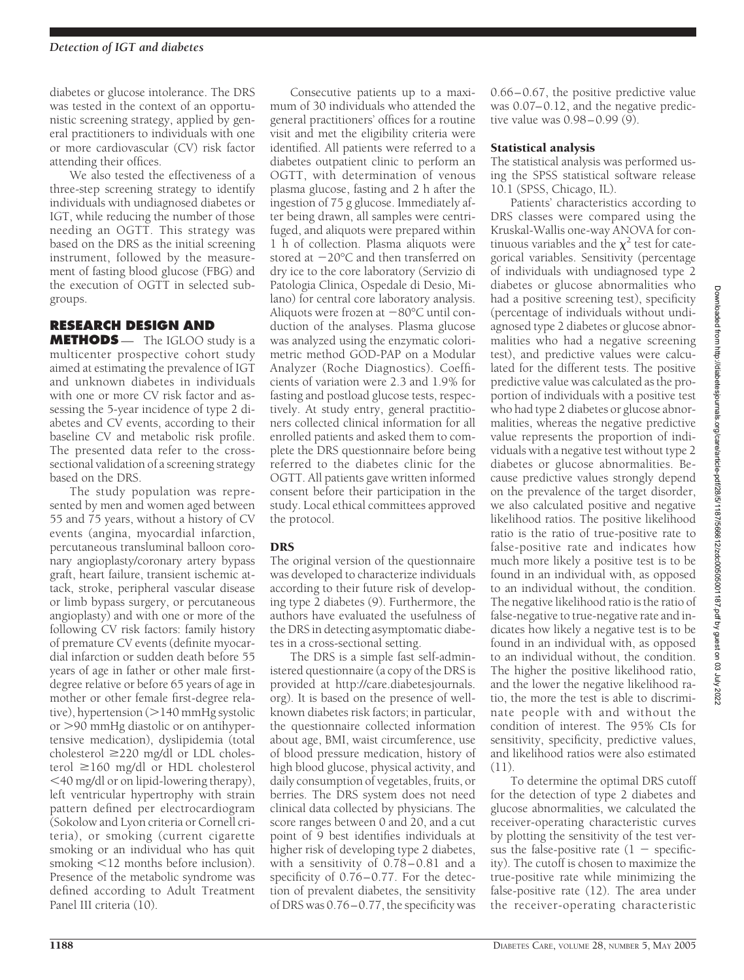diabetes or glucose intolerance. The DRS was tested in the context of an opportunistic screening strategy, applied by general practitioners to individuals with one or more cardiovascular (CV) risk factor attending their offices.

We also tested the effectiveness of a three-step screening strategy to identify individuals with undiagnosed diabetes or IGT, while reducing the number of those needing an OGTT. This strategy was based on the DRS as the initial screening instrument, followed by the measurement of fasting blood glucose (FBG) and the execution of OGTT in selected subgroups.

# **RESEARCH DESIGN AND**

**METHODS** — The IGLOO study is a multicenter prospective cohort study aimed at estimating the prevalence of IGT and unknown diabetes in individuals with one or more CV risk factor and assessing the 5-year incidence of type 2 diabetes and CV events, according to their baseline CV and metabolic risk profile. The presented data refer to the crosssectional validation of a screening strategy based on the DRS.

The study population was represented by men and women aged between 55 and 75 years, without a history of CV events (angina, myocardial infarction, percutaneous transluminal balloon coronary angioplasty/coronary artery bypass graft, heart failure, transient ischemic attack, stroke, peripheral vascular disease or limb bypass surgery, or percutaneous angioplasty) and with one or more of the following CV risk factors: family history of premature CV events (definite myocardial infarction or sudden death before 55 years of age in father or other male firstdegree relative or before 65 years of age in mother or other female first-degree relative), hypertension (>140 mmHg systolic or >90 mmHg diastolic or on antihypertensive medication), dyslipidemia (total cholesterol  $\geq$ 220 mg/dl or LDL cholesterol  $\geq 160$  mg/dl or HDL cholesterol 40 mg/dl or on lipid-lowering therapy), left ventricular hypertrophy with strain pattern defined per electrocardiogram (Sokolow and Lyon criteria or Cornell criteria), or smoking (current cigarette smoking or an individual who has quit smoking <12 months before inclusion). Presence of the metabolic syndrome was defined according to Adult Treatment Panel III criteria (10).

Consecutive patients up to a maximum of 30 individuals who attended the general practitioners' offices for a routine visit and met the eligibility criteria were identified. All patients were referred to a diabetes outpatient clinic to perform an OGTT, with determination of venous plasma glucose, fasting and 2 h after the ingestion of 75 g glucose. Immediately after being drawn, all samples were centrifuged, and aliquots were prepared within 1 h of collection. Plasma aliquots were stored at  $-20^{\circ}$ C and then transferred on dry ice to the core laboratory (Servizio di Patologia Clinica, Ospedale di Desio, Milano) for central core laboratory analysis. Aliquots were frozen at  $-80^{\circ}$ C until conduction of the analyses. Plasma glucose was analyzed using the enzymatic colorimetric method GOD-PAP on a Modular Analyzer (Roche Diagnostics). Coefficients of variation were 2.3 and 1.9% for fasting and postload glucose tests, respectively. At study entry, general practitioners collected clinical information for all enrolled patients and asked them to complete the DRS questionnaire before being referred to the diabetes clinic for the OGTT. All patients gave written informed consent before their participation in the study. Local ethical committees approved the protocol.

## **DRS**

The original version of the questionnaire was developed to characterize individuals according to their future risk of developing type 2 diabetes (9). Furthermore, the authors have evaluated the usefulness of the DRS in detecting asymptomatic diabetes in a cross-sectional setting.

The DRS is a simple fast self-administered questionnaire (a copy of the DRS is provided at http://care.diabetesjournals. org). It is based on the presence of wellknown diabetes risk factors; in particular, the questionnaire collected information about age, BMI, waist circumference, use of blood pressure medication, history of high blood glucose, physical activity, and daily consumption of vegetables, fruits, or berries. The DRS system does not need clinical data collected by physicians. The score ranges between 0 and 20, and a cut point of 9 best identifies individuals at higher risk of developing type 2 diabetes, with a sensitivity of 0.78–0.81 and a specificity of 0.76–0.77. For the detection of prevalent diabetes, the sensitivity of DRS was 0.76–0.77, the specificity was

0.66–0.67, the positive predictive value was 0.07–0.12, and the negative predictive value was 0.98–0.99 (9).

## Statistical analysis

The statistical analysis was performed using the SPSS statistical software release 10.1 (SPSS, Chicago, IL).

Patients' characteristics according to DRS classes were compared using the Kruskal-Wallis one-way ANOVA for continuous variables and the  $\chi^2$  test for categorical variables. Sensitivity (percentage of individuals with undiagnosed type 2 diabetes or glucose abnormalities who had a positive screening test), specificity (percentage of individuals without undiagnosed type 2 diabetes or glucose abnormalities who had a negative screening test), and predictive values were calculated for the different tests. The positive predictive value was calculated as the proportion of individuals with a positive test who had type 2 diabetes or glucose abnormalities, whereas the negative predictive value represents the proportion of individuals with a negative test without type 2 diabetes or glucose abnormalities. Because predictive values strongly depend on the prevalence of the target disorder, we also calculated positive and negative likelihood ratios. The positive likelihood ratio is the ratio of true-positive rate to false-positive rate and indicates how much more likely a positive test is to be found in an individual with, as opposed to an individual without, the condition. The negative likelihood ratio is the ratio of false-negative to true-negative rate and indicates how likely a negative test is to be found in an individual with, as opposed to an individual without, the condition. The higher the positive likelihood ratio, and the lower the negative likelihood ratio, the more the test is able to discriminate people with and without the condition of interest. The 95% CIs for sensitivity, specificity, predictive values, and likelihood ratios were also estimated (11).

To determine the optimal DRS cutoff for the detection of type 2 diabetes and glucose abnormalities, we calculated the receiver-operating characteristic curves by plotting the sensitivity of the test versus the false-positive rate  $(1 - \text{specific} - \text{)}$ ity). The cutoff is chosen to maximize the true-positive rate while minimizing the false-positive rate (12). The area under the receiver-operating characteristic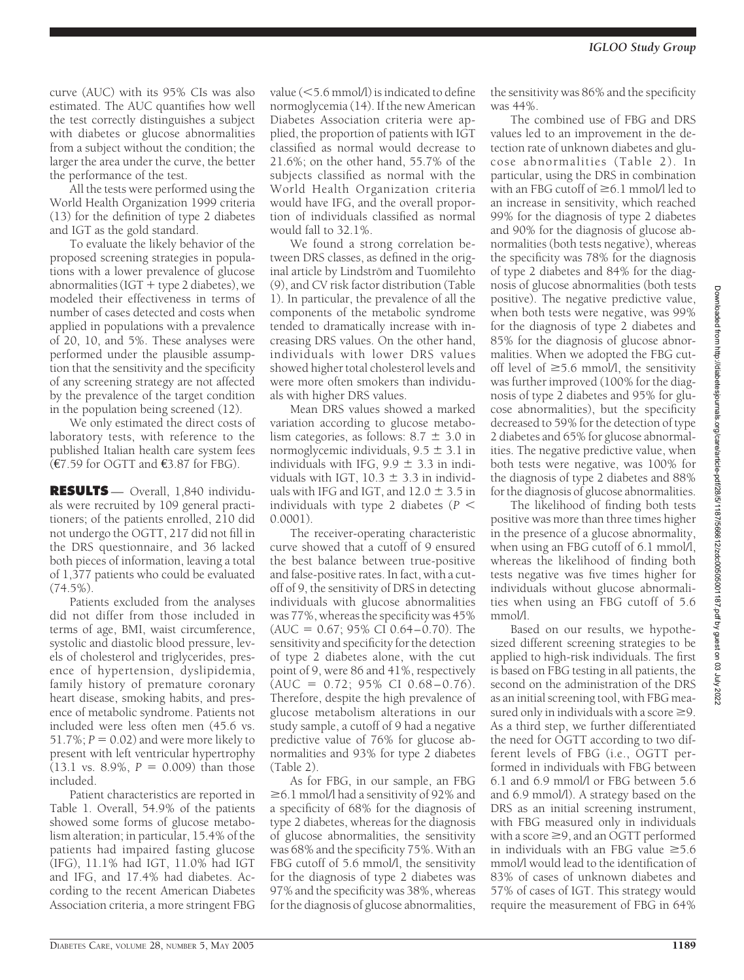curve (AUC) with its 95% CIs was also estimated. The AUC quantifies how well the test correctly distinguishes a subject with diabetes or glucose abnormalities from a subject without the condition; the larger the area under the curve, the better the performance of the test.

All the tests were performed using the World Health Organization 1999 criteria (13) for the definition of type 2 diabetes and IGT as the gold standard.

To evaluate the likely behavior of the proposed screening strategies in populations with a lower prevalence of glucose abnormalities (IGT  $+$  type 2 diabetes), we modeled their effectiveness in terms of number of cases detected and costs when applied in populations with a prevalence of 20, 10, and 5%. These analyses were performed under the plausible assumption that the sensitivity and the specificity of any screening strategy are not affected by the prevalence of the target condition in the population being screened (12).

We only estimated the direct costs of laboratory tests, with reference to the published Italian health care system fees (€7.59 for OGTT and €3.87 for FBG).

**RESULTS** — Overall, 1,840 individuals were recruited by 109 general practitioners; of the patients enrolled, 210 did not undergo the OGTT, 217 did not fill in the DRS questionnaire, and 36 lacked both pieces of information, leaving a total of 1,377 patients who could be evaluated (74.5%).

Patients excluded from the analyses did not differ from those included in terms of age, BMI, waist circumference, systolic and diastolic blood pressure, levels of cholesterol and triglycerides, presence of hypertension, dyslipidemia, family history of premature coronary heart disease, smoking habits, and presence of metabolic syndrome. Patients not included were less often men (45.6 vs. 51.7%;  $P = 0.02$ ) and were more likely to present with left ventricular hypertrophy  $(13.1 \text{ vs. } 8.9\%, P = 0.009)$  than those included.

Patient characteristics are reported in Table 1. Overall, 54.9% of the patients showed some forms of glucose metabolism alteration; in particular, 15.4% of the patients had impaired fasting glucose (IFG), 11.1% had IGT, 11.0% had IGT and IFG, and 17.4% had diabetes. According to the recent American Diabetes Association criteria, a more stringent FBG

value (5.6 mmol/l) is indicated to define normoglycemia (14). If the new American Diabetes Association criteria were applied, the proportion of patients with IGT classified as normal would decrease to 21.6%; on the other hand, 55.7% of the subjects classified as normal with the World Health Organization criteria would have IFG, and the overall proportion of individuals classified as normal would fall to 32.1%.

We found a strong correlation between DRS classes, as defined in the original article by Lindström and Tuomilehto (9), and CV risk factor distribution (Table 1). In particular, the prevalence of all the components of the metabolic syndrome tended to dramatically increase with increasing DRS values. On the other hand, individuals with lower DRS values showed higher total cholesterol levels and were more often smokers than individuals with higher DRS values.

Mean DRS values showed a marked variation according to glucose metabolism categories, as follows:  $8.7 \pm 3.0$  in normoglycemic individuals,  $9.5 \pm 3.1$  in individuals with IFG,  $9.9 \pm 3.3$  in individuals with IGT,  $10.3 \pm 3.3$  in individuals with IFG and IGT, and  $12.0 \pm 3.5$  in individuals with type 2 diabetes (*P* 0.0001).

The receiver-operating characteristic curve showed that a cutoff of 9 ensured the best balance between true-positive and false-positive rates. In fact, with a cutoff of 9, the sensitivity of DRS in detecting individuals with glucose abnormalities was 77%, whereas the specificity was 45%  $(AUC = 0.67; 95\% CI 0.64 - 0.70)$ . The sensitivity and specificity for the detection of type 2 diabetes alone, with the cut point of 9, were 86 and 41%, respectively  $(AUC = 0.72; 95\% CI 0.68 - 0.76).$ Therefore, despite the high prevalence of glucose metabolism alterations in our study sample, a cutoff of 9 had a negative predictive value of 76% for glucose abnormalities and 93% for type 2 diabetes (Table 2).

As for FBG, in our sample, an FBG  $\geq 6.1$  mmol/l had a sensitivity of 92% and a specificity of 68% for the diagnosis of type 2 diabetes, whereas for the diagnosis of glucose abnormalities, the sensitivity was 68% and the specificity 75%. With an FBG cutoff of 5.6 mmol/l, the sensitivity for the diagnosis of type 2 diabetes was 97% and the specificity was 38%, whereas for the diagnosis of glucose abnormalities,

the sensitivity was 86% and the specificity was 44%.

The combined use of FBG and DRS values led to an improvement in the detection rate of unknown diabetes and glucose abnormalities (Table 2). In particular, using the DRS in combination with an FBG cutoff of  $\geq 6.1$  mmol/l led to an increase in sensitivity, which reached 99% for the diagnosis of type 2 diabetes and 90% for the diagnosis of glucose abnormalities (both tests negative), whereas the specificity was 78% for the diagnosis of type 2 diabetes and 84% for the diagnosis of glucose abnormalities (both tests positive). The negative predictive value, when both tests were negative, was 99% for the diagnosis of type 2 diabetes and 85% for the diagnosis of glucose abnormalities. When we adopted the FBG cutoff level of  $\geq$ 5.6 mmol/l, the sensitivity was further improved (100% for the diagnosis of type 2 diabetes and 95% for glucose abnormalities), but the specificity decreased to 59% for the detection of type 2 diabetes and 65% for glucose abnormalities. The negative predictive value, when both tests were negative, was 100% for the diagnosis of type 2 diabetes and 88% for the diagnosis of glucose abnormalities.

The likelihood of finding both tests positive was more than three times higher in the presence of a glucose abnormality, when using an FBG cutoff of 6.1 mmol/l, whereas the likelihood of finding both tests negative was five times higher for individuals without glucose abnormalities when using an FBG cutoff of 5.6 mmol/l.

Based on our results, we hypothesized different screening strategies to be applied to high-risk individuals. The first is based on FBG testing in all patients, the second on the administration of the DRS as an initial screening tool, with FBG measured only in individuals with a score  $\geq 9$ . As a third step, we further differentiated the need for OGTT according to two different levels of FBG (i.e., OGTT performed in individuals with FBG between 6.1 and 6.9 mmol/l or FBG between 5.6 and 6.9 mmol/l). A strategy based on the DRS as an initial screening instrument, with FBG measured only in individuals with a score  $\geq$ 9, and an OGTT performed in individuals with an FBG value  $\geq 5.6$ mmol/l would lead to the identification of 83% of cases of unknown diabetes and 57% of cases of IGT. This strategy would require the measurement of FBG in 64%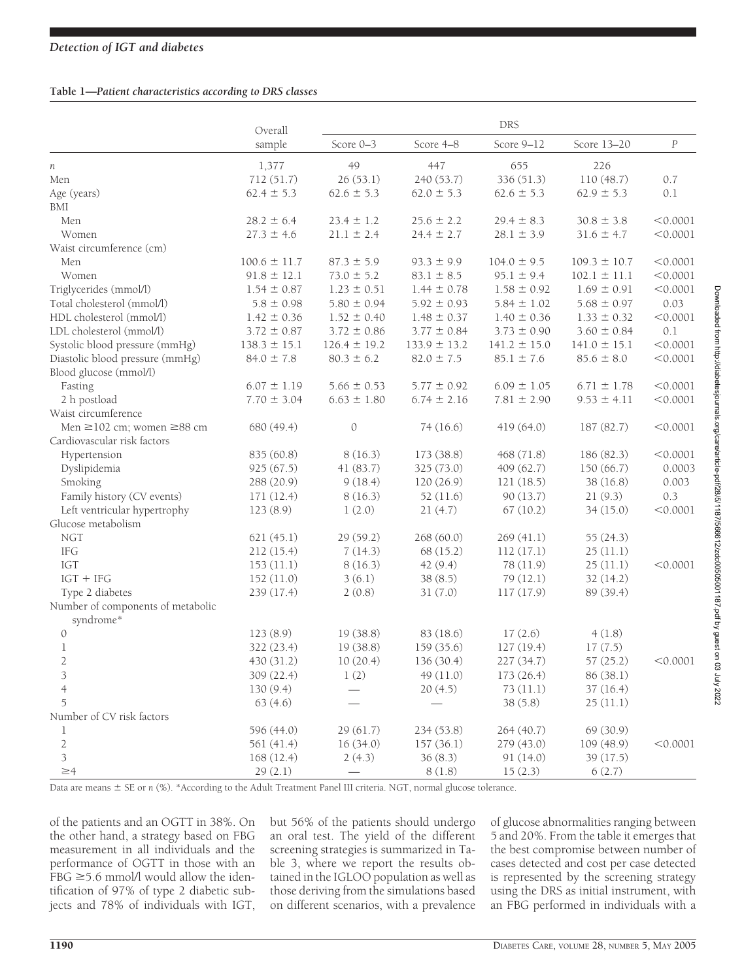#### **Table 1—***Patient characteristics according to DRS classes*

|                                                | Overall          |                          |                  | <b>DRS</b>       |                  |                  |
|------------------------------------------------|------------------|--------------------------|------------------|------------------|------------------|------------------|
|                                                | sample           | Score 0-3                | Score 4-8        | Score 9-12       | Score 13-20      | $\boldsymbol{P}$ |
| n                                              | 1,377            | 49                       | 447              | 655              | 226              |                  |
| Men                                            | 712 (51.7)       | 26(53.1)                 | 240 (53.7)       | 336 (51.3)       | 110 (48.7)       | 0.7              |
| Age (years)                                    | $62.4 \pm 5.3$   | $62.6 \pm 5.3$           | $62.0 \pm 5.3$   | $62.6 \pm 5.3$   | $62.9 \pm 5.3$   | 0.1              |
| BMI                                            |                  |                          |                  |                  |                  |                  |
| Men                                            | $28.2 \pm 6.4$   | $23.4 \pm 1.2$           | $25.6 \pm 2.2$   | $29.4 \pm 8.3$   | $30.8 \pm 3.8$   | < 0.0001         |
| Women                                          | $27.3 \pm 4.6$   | $21.1 \pm 2.4$           | $24.4 \pm 2.7$   | $28.1 \pm 3.9$   | $31.6 \pm 4.7$   | < 0.0001         |
| Waist circumference (cm)                       |                  |                          |                  |                  |                  |                  |
| Men                                            | $100.6 \pm 11.7$ | $87.3 \pm 5.9$           | $93.3 \pm 9.9$   | $104.0 \pm 9.5$  | $109.3 \pm 10.7$ | < 0.0001         |
| Women                                          | $91.8 \pm 12.1$  | $73.0 \pm 5.2$           | $83.1 \pm 8.5$   | $95.1 \pm 9.4$   | $102.1 \pm 11.1$ | < 0.0001         |
| Triglycerides (mmol/l)                         | $1.54 \pm 0.87$  | $1.23 \pm 0.51$          | $1.44 \pm 0.78$  | $1.58 \pm 0.92$  | $1.69 \pm 0.91$  | < 0.0001         |
| Total cholesterol (mmol/l)                     | $5.8 \pm 0.98$   | $5.80 \pm 0.94$          | $5.92 \pm 0.93$  | $5.84 \pm 1.02$  | $5.68 \pm 0.97$  | 0.03             |
| HDL cholesterol (mmol/l)                       | $1.42 \pm 0.36$  | $1.52 \pm 0.40$          | $1.48 \pm 0.37$  | $1.40 \pm 0.36$  | $1.33 \pm 0.32$  | < 0.0001         |
| LDL cholesterol (mmol/l)                       | $3.72 \pm 0.87$  | $3.72 \pm 0.86$          | $3.77 \pm 0.84$  | $3.73 \pm 0.90$  | $3.60 \pm 0.84$  | 0.1              |
| Systolic blood pressure (mmHg)                 | $138.3 \pm 15.1$ | $126.4 \pm 19.2$         | $133.9 \pm 13.2$ | $141.2 \pm 15.0$ | $141.0 \pm 15.1$ | < 0.0001         |
| Diastolic blood pressure (mmHg)                | $84.0 \pm 7.8$   | $80.3 \pm 6.2$           | $82.0 \pm 7.5$   | $85.1 \pm 7.6$   | $85.6 \pm 8.0$   | < 0.0001         |
| Blood glucose (mmol/l)                         |                  |                          |                  |                  |                  |                  |
| Fasting                                        | $6.07 \pm 1.19$  | $5.66 \pm 0.53$          | $5.77 \pm 0.92$  | $6.09 \pm 1.05$  | $6.71 \pm 1.78$  | < 0.0001         |
| 2 h postload                                   | $7.70 \pm 3.04$  | $6.63 \pm 1.80$          | $6.74 \pm 2.16$  | $7.81 \pm 2.90$  | $9.53 \pm 4.11$  | < 0.0001         |
| Waist circumference                            |                  |                          |                  |                  |                  |                  |
| Men $\geq$ 102 cm; women $\geq$ 88 cm          |                  |                          | 74(16.6)         |                  |                  |                  |
|                                                | 680 (49.4)       | $\mathcal{O}$            |                  | 419 (64.0)       | 187 (82.7)       | < 0.0001         |
| Cardiovascular risk factors                    |                  |                          |                  |                  |                  |                  |
| Hypertension                                   | 835 (60.8)       | 8(16.3)                  | 173 (38.8)       | 468 (71.8)       | 186 (82.3)       | < 0.0001         |
| Dyslipidemia                                   | 925(67.5)        | 41(83.7)                 | 325 (73.0)       | 409(62.7)        | 150 (66.7)       | 0.0003           |
| Smoking                                        | 288 (20.9)       | 9(18.4)                  | 120(26.9)        | 121(18.5)        | 38(16.8)         | 0.003            |
| Family history (CV events)                     | 171(12.4)        | 8(16.3)                  | 52(11.6)         | 90(13.7)         | 21(9.3)          | 0.3              |
| Left ventricular hypertrophy                   | 123(8.9)         | 1(2.0)                   | 21(4.7)          | 67(10.2)         | 34(15.0)         | < 0.0001         |
| Glucose metabolism                             |                  |                          |                  |                  |                  |                  |
| <b>NGT</b>                                     | 621(45.1)        | 29(59.2)                 | 268(60.0)        | 269(41.1)        | 55(24.3)         |                  |
| <b>IFG</b>                                     | 212(15.4)        | 7(14.3)                  | 68 (15.2)        | 112(17.1)        | 25(11.1)         |                  |
| IGT                                            | 153(11.1)        | 8(16.3)                  | 42(9.4)          | 78 (11.9)        | 25(11.1)         | < 0.0001         |
| $IGT + IFG$                                    | 152(11.0)        | 3(6.1)                   | 38(8.5)          | 79(12.1)         | 32(14.2)         |                  |
| Type 2 diabetes                                | 239(17.4)        | 2(0.8)                   | 31(7.0)          | 117(17.9)        | 89 (39.4)        |                  |
| Number of components of metabolic<br>syndrome* |                  |                          |                  |                  |                  |                  |
| $\mathcal{O}$                                  | 123(8.9)         | 19 (38.8)                | 83 (18.6)        | 17(2.6)          | 4(1.8)           |                  |
| 1                                              | 322 (23.4)       | 19(38.8)                 | 159(35.6)        | 127(19.4)        | 17(7.5)          |                  |
| $\overline{2}$                                 | 430 (31.2)       | 10(20.4)                 | 136 (30.4)       | 227 (34.7)       | 57(25.2)         | < 0.0001         |
| 3                                              | 309 (22.4)       | 1(2)                     | 49 (11.0)        | 173 (26.4)       | 86 (38.1)        |                  |
| $\overline{4}$                                 | 130(9.4)         |                          | 20(4.5)          | 73(11.1)         | 37(16.4)         |                  |
| 5                                              | 63(4.6)          |                          |                  | 38(5.8)          | 25(11.1)         |                  |
| Number of CV risk factors                      |                  |                          |                  |                  |                  |                  |
| 1                                              | 596 (44.0)       | 29(61.7)                 | 234(53.8)        | 264(40.7)        | 69 (30.9)        |                  |
| $\overline{2}$                                 |                  | 16(34.0)                 | 157(36.1)        | 279 (43.0)       |                  | < 0.0001         |
| 3                                              | 561 (41.4)       | 2(4.3)                   |                  | 91(14.0)         | 109 (48.9)       |                  |
|                                                | 168(12.4)        |                          | 36(8.3)          |                  | 39(17.5)         |                  |
| $\geq 4$                                       | 29(2.1)          | $\overline{\phantom{0}}$ | 8(1.8)           | 15(2.3)          | 6(2.7)           |                  |

Data are means  $\pm$  SE or *n* (%). \*According to the Adult Treatment Panel III criteria. NGT, normal glucose tolerance.

of the patients and an OGTT in 38%. On the other hand, a strategy based on FBG measurement in all individuals and the performance of OGTT in those with an  $FBG \geq 5.6$  mmol/l would allow the identification of 97% of type 2 diabetic subjects and 78% of individuals with IGT, but 56% of the patients should undergo an oral test. The yield of the different screening strategies is summarized in Table 3, where we report the results obtained in the IGLOO population as well as those deriving from the simulations based on different scenarios, with a prevalence

of glucose abnormalities ranging between 5 and 20%. From the table it emerges that the best compromise between number of cases detected and cost per case detected is represented by the screening strategy using the DRS as initial instrument, with an FBG performed in individuals with a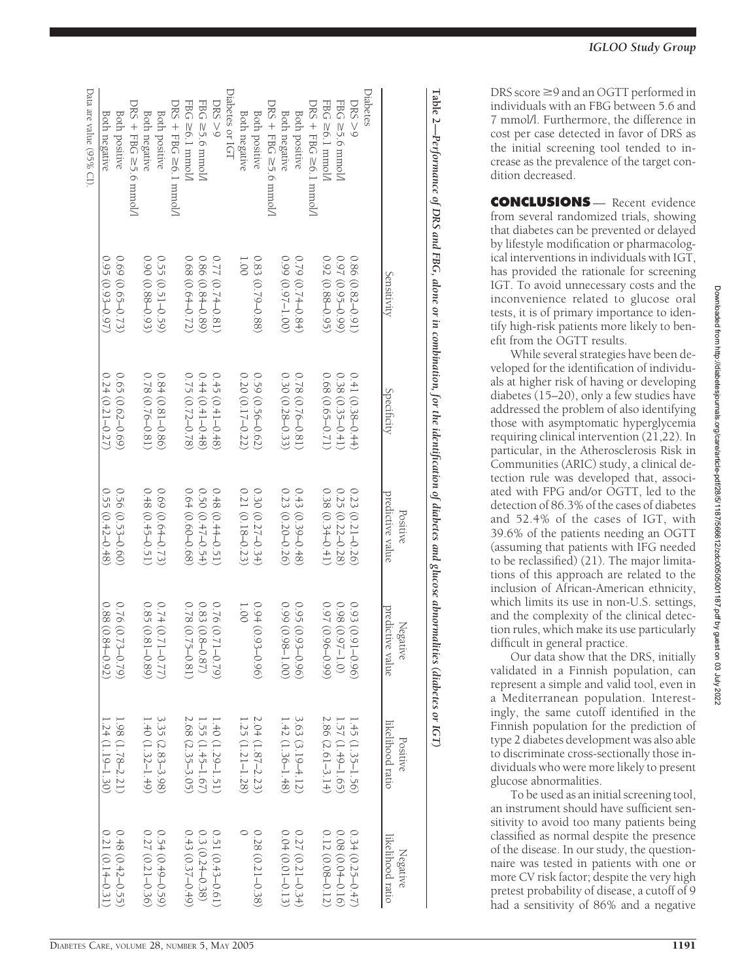|                          | Sensitivity         | Specificity         | predictive value<br>Positive | predictive value<br>Negative | likelihood ratio<br>Positive | likelihood ratio<br>Negative |
|--------------------------|---------------------|---------------------|------------------------------|------------------------------|------------------------------|------------------------------|
| Diabetes                 |                     |                     |                              |                              |                              |                              |
| DRS > 9                  | $0.86(0.82-0.91)$   | $0.41(0.38 - 0.44)$ | $0.23(0.21 - 0.26)$          | 0.93(0.9)<br>$1 - 0.96$      | 1.45 (1.35-1.56)             | $0.34(0.25 - 0.47)$          |
| FBG $\geq$ 5.6 mmol/l    | $0.97(0.95 - 0.99)$ | $0.38(0.35 - 0.41)$ | $0.25(0.22-0.28)$            | $0.98(0.97 - 1.0)$           | 1.57 (1.49-1.65)             | $0.08(0.04 - 0.16)$          |
| FBG $\geq 6.1$ mmol/l    | $0.92(0.88 - 0.95)$ | $0.68(0.65 - 0.71)$ | $0.38(0.34 - 0.41)$          | $0.97(0.96-0.99)$            | 2.86 (2.61-3.14)             | $0.12(0.08 - 0.12)$          |
| $DS + FBC \ge 6.1$ mnol/ |                     |                     |                              |                              |                              |                              |
| <b>Both positive</b>     | $0.79(0.74 - 0.84)$ | $0.78(0.76 - 0.81)$ | $0.43(0.39 - 0.48)$          | $0.95(0.93 - 0.96)$          | $3.63(3.19 - 4.12)$          | $0.27(0.21 - 0.34)$          |
| Both negative            | $(001 - 260)$ 660   | $0.30(0.28 - 0.33)$ | $0.23(0.20 - 0.26)$          | $(0.99(0.98 - 1.00))$        | $1.42(1.36 - 1.48)$          | $0.04(0.01-0.13)$            |
| DRS + FBG > 5.6 annol    |                     |                     |                              |                              |                              |                              |
| <b>Both positive</b>     | $0.83(0.79 - 0.88)$ | $0.59(0.56 - 0.62)$ | $0.30(0.27 - 0.34)$          | 0.94(0.95)<br>$3 - 0.96$     | 2.04 (1.87-2.23)             | $0.28(0.21 - 0.38)$          |
| Both negative            | 1.001               | $0.20(0.17 - 0.22)$ | $0.21(0.18 - 0.23)$          | 1.00                         | $1.25(1.21 - 1.28)$          |                              |
| Diabetes or IGT          |                     |                     |                              |                              |                              |                              |
| DRS > 9                  | $0.77(0.74 - 0.81)$ | $0.45(0.41 - 0.48)$ | $0.48(0.44 - 0.51)$          | $0.76(0.71 - 0.79)$          | 1.40 (1.29-1.51)             | $0.51(0.43-0.61)$            |
| FBG $\geq$ 5.6 mmol/l    | $0.86(0.84 - 0.89)$ | $0.44(0.41 - 0.48)$ | $0.50(0.47 - 0.54)$          | $0.83(0.8 - 0.87)$           | 1.55 (1.45-1.67)             | $0.3(0.24 - 0.38)$           |
| FBG $\geq 6.1$ mmol/     | $0.68(0.64 - 0.72)$ | 0.75 (0.72-0.78)    | $0.64(0.60-0.68)$            | $0.78(0.75 - 0.81)$          | 2.68 (2.35-3.05)             | $0.43(0.37 - 0.49)$          |
| $DS + FBC \ge 6.1$ mmol/ |                     |                     |                              |                              |                              |                              |
| <b>Both positive</b>     | $0.55(0.51-0.59)$   | $0.84(0.81 - 0.86)$ | $0.69(0.64 - 0.73)$          | $0.74(0.71 - 0.77)$          | 3.35 (2.83-3.98)             | $0.54(0.49-0.59)$            |
| Both negative            | $0.90(0.88 - 0.93)$ | $0.78(0.76 - 0.81)$ | $0.48(0.45-0.51)$            | 0.85 (0.8)<br>$1 - 0.89$     | $1.40(1.32 - 1.49)$          | $0.27(0.21 - 0.36)$          |
| DRS + FBG ≥5.6 cmmoM     |                     |                     |                              |                              |                              |                              |
| <b>Both positive</b>     | $0.69(0.65 - 0.73)$ | $0.65(0.62-0.69)$   | $0.56(0.53-0.60)$            | $0.76(0.73 - 0.79)$          | $1.98(1.78-2.21)$            | $0.48(0.42-0.55)$            |
| Both negative            | $0.95(0.93 - 0.97)$ | $0.24(0.21 - 0.27)$ | $0.55(0.42-0.48)$            | $0.88(0.84 - 0.92)$          | $1.24(1.19-1.30)$            | $0.21(0.14-0.31)$            |
| Data are value (95% CI). |                     |                     |                              |                              |                              |                              |

**Table 2—***Performance of DRS and FBG, alone or in combination, for the identification of diabetes and glucose abnormalities (diabetes or*

 *IGT)*

DRS score ≥9 and an OGTT performed in individuals with an FBG between 5.6 and 7 mmol/l. Furthermore, the difference in cost per case detected in favor of DRS as the initial screening tool tended to increase as the prevalence of the target condition decreased.

**CONCLUSIONS** — Recent evidence from several randomized trials, showing that diabetes can be prevented or delayed by lifestyle modification or pharmacological interventions in individuals with IGT, has provided the rationale for screening IGT. To avoid unnecessary costs and the inconvenience related to glucose oral tests, it is of primary importance to identify high-risk patients more likely to benefit from the OGTT results.

While several strategies have been developed for the identification of individuals at higher risk of having or developing diabetes (15–20), only a few studies have addressed the problem of also identifying those with asymptomatic hyperglycemia requiring clinical intervention (21,22). In particular, in the Atherosclerosis Risk in Communities (ARIC) study, a clinical detection rule was developed that, associated with FPG and/or OGTT, led to the detection of 86.3% of the cases of diabetes and 52.4% of the cases of IGT, with 39.6% of the patients needing an OGTT (assuming that patients with IFG needed to be reclassified) (21). The major limitations of this approach are related to the inclusion of African-American ethnicity, which limits its use in non-U.S. settings, and the complexity of the clinical detection rules, which make its use particularly difficult in general practice.

Our data show that the DRS, initially validated in a Finnish population, can represent a simple and valid tool, even in a Mediterranean population. Interestingly, the same cutoff identified in the Finnish population for the prediction of type 2 diabetes development was also able to discriminate cross-sectionally those individuals who were more likely to present glucose abnormalities.

To be used as an initial screening tool, an instrument should have sufficient sensitivity to avoid too many patients being classified as normal despite the presence of the disease. In our study, the questionnaire was tested in patients with one or more CV risk factor; despite the very high pretest probability of disease, a cutoff of 9 had a sensitivity of 86% and a negative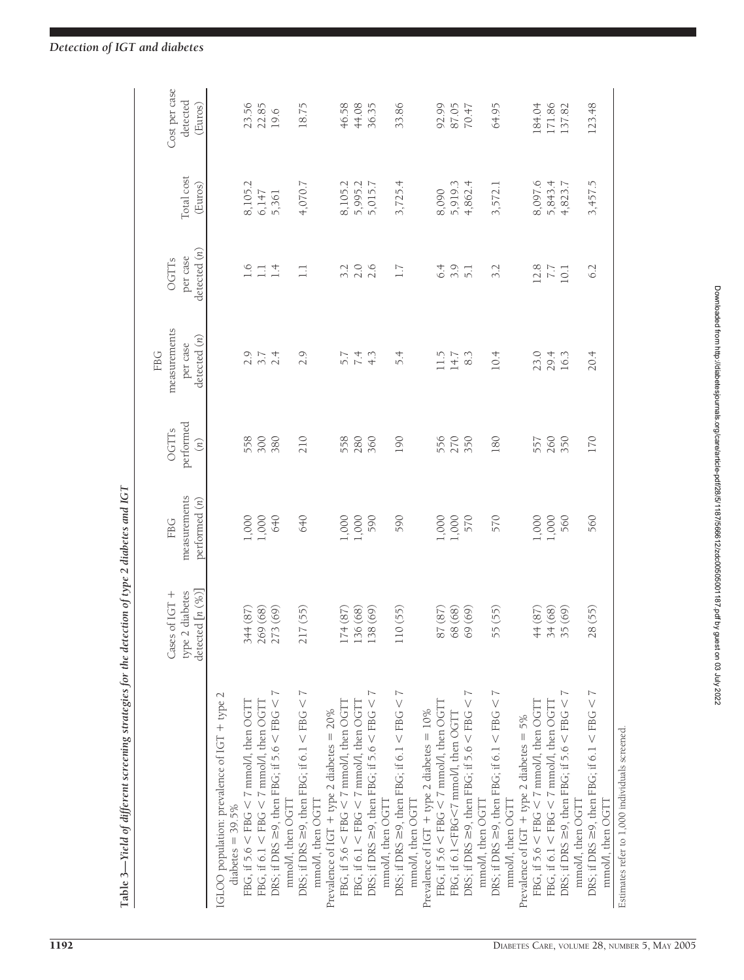|                                                                                                                                                                                                                             | type 2 diabetes<br>detected $[n(%)]$<br>Cases of $IGT +$ | measurements<br>performed (n)<br>FBG | performed<br>OGTTS<br>$\binom{n}{k}$ | measurements<br>detected(n)<br>per case<br>FBG | detected (n)<br>per case<br>OGTTS | Total cost<br>(Euros) | Cost per case<br>detected<br>(Euros) |
|-----------------------------------------------------------------------------------------------------------------------------------------------------------------------------------------------------------------------------|----------------------------------------------------------|--------------------------------------|--------------------------------------|------------------------------------------------|-----------------------------------|-----------------------|--------------------------------------|
| IGLOO population: prevalence of IGT + type 2<br>diabetes = $39.5\%$                                                                                                                                                         |                                                          |                                      |                                      |                                                |                                   |                       |                                      |
| FBG, if $5.6 \leq$ FBG $\leq$ 7 mmol/l, then OGTT                                                                                                                                                                           | 344 (87)                                                 | 1,000<br>1,000                       | 558                                  | $2.9$<br>3.7                                   | 1.6                               | 8,105.2               | 23.56                                |
| FBG, if $6.1 <$ FBG $<$ 7 mmol/l, then OGTT                                                                                                                                                                                 | 269 (68)                                                 |                                      | 300                                  |                                                | $\Box$                            | 6,147                 | 22.85                                |
| DRS; if DRS $\geq$ 9, then FBG; if 5.6 $\lt$ FBG $\lt$ 7<br>mmol/l, then OGTT                                                                                                                                               | 273 (69)                                                 | 640                                  | 380                                  | 2.4                                            | 1.4                               | 5,361                 | 19.6                                 |
| DRS; if DRS $\geq$ 9, then FBG; if 6.1 $\lt$ FBG $\lt$ 7<br>mmol/1, then OGTT                                                                                                                                               | 217 (55)                                                 | 640                                  | 210                                  | 2.9                                            | $\Box$                            | 4,070.7               | 18.75                                |
| Prevalence of IGT + type 2 diabetes = 20%                                                                                                                                                                                   |                                                          |                                      |                                      |                                                |                                   |                       |                                      |
| FBG, if $5.6 <$ FBG $<$ 7 mmol/l, then OGTT                                                                                                                                                                                 | 174 (87)                                                 |                                      | 558                                  | 5.7                                            | 3.2                               | 8,105.2               | 46.58                                |
| FBG, if $6.1 <$ FBG $<$ 7 mmol/l, then OGTT                                                                                                                                                                                 | 136 (68)                                                 | 1,000<br>1,000<br>590                | 280                                  | 7.4                                            | 2.0                               | 5,995.2               | 44.08                                |
| DRS; if DRS $\geq$ 9, then FBG; if 5.6 $\lt$ FBG $\lt$ 7                                                                                                                                                                    | 138 (69)                                                 |                                      | 360                                  | 4.3                                            | 2.6                               | 5,015.7               | 36.35                                |
| mmol/, then OGTT                                                                                                                                                                                                            |                                                          |                                      |                                      |                                                |                                   |                       |                                      |
| DRS; if DRS $\geq$ 9, then FBG; if 6.1 $\lt$ FBG $\lt$ 7                                                                                                                                                                    | 110(55)                                                  | 590                                  | 190                                  | 54                                             | 1.7                               | 3,725.4               | 33.86                                |
| mmol/l, then OGTT                                                                                                                                                                                                           |                                                          |                                      |                                      |                                                |                                   |                       |                                      |
| Prevalence of IGT + type 2 diabetes = 10%                                                                                                                                                                                   |                                                          |                                      |                                      |                                                |                                   |                       |                                      |
| FBG, if $5.6 <$ FBG $<$ 7 mmol/l, then OGTT                                                                                                                                                                                 | 87 (87)                                                  |                                      | 556                                  | 11.5                                           | 6.4                               | 8,090                 | 92.99                                |
| FBG, if 6.1 <fbg<7 l,="" mmol="" ogtt<="" td="" then=""><td>68 (68)</td><td>1,000<br/>1,000<br/>570</td><td>270</td><td><math display="inline">14.7</math></td><td>3.9</td><td>5,919.3</td><td>87.05<br/>70.47</td></fbg<7> | 68 (68)                                                  | 1,000<br>1,000<br>570                | 270                                  | $14.7$                                         | 3.9                               | 5,919.3               | 87.05<br>70.47                       |
| DRS; if DRS $\geq$ 9, then FBG; if 5.6 $\lt$ FBG $\lt$ 7                                                                                                                                                                    | 69 (69)                                                  |                                      | 350                                  | 8.3                                            | $\overline{5}$ .                  | 4,862.4               |                                      |
| mmol/l, then OGTT                                                                                                                                                                                                           |                                                          |                                      |                                      |                                                |                                   |                       |                                      |
| DRS; if DRS $\geq$ 9, then FBG; if 6.1 $\lt$ FBG $\lt$ 7                                                                                                                                                                    | 55 (55)                                                  | 570                                  | 180                                  | 10.4                                           | 3.2                               | 3,572.1               | 64.95                                |
| mmol/l, then OGTT                                                                                                                                                                                                           |                                                          |                                      |                                      |                                                |                                   |                       |                                      |
| Prevalence of IGT + type 2 diabetes = $5\%$                                                                                                                                                                                 |                                                          |                                      |                                      |                                                |                                   |                       |                                      |
| FBG, if $5.6 <$ FBG $<$ 7 mmol/l, then OGTT                                                                                                                                                                                 | 44 (87)                                                  | 000                                  | 557                                  | 23.0                                           | 12.8                              | 8,097.6               | 184.04                               |
| FBG, if $6.1 \leq$ FBG $\leq$ 7 mmol/l, then OGT1                                                                                                                                                                           | 34 (68)                                                  | 1,000                                | 260                                  | 29.4                                           |                                   | 5,843.4               | 171.86                               |
| $DRS$ ; if $DRS \geq 9$ , then $FBG$ ; if $5.6 < PBG < 7$                                                                                                                                                                   | 35 (69)                                                  | 560                                  | 350                                  | 16.3                                           | $7.7$<br>10.1                     | 4,823.7               | 137.82                               |
| mmol/l, then OGTT                                                                                                                                                                                                           |                                                          |                                      |                                      |                                                |                                   |                       |                                      |
| DRS; if DRS $\geq$ 9, then FBG; if 6.1 $\lt$ FBG $\lt$ 7                                                                                                                                                                    | 28 (55)                                                  | 560                                  | 170                                  | 20.4                                           | 6.2                               | 3,457.5               | 123.48                               |
| mmol/l, then OGTT                                                                                                                                                                                                           |                                                          |                                      |                                      |                                                |                                   |                       |                                      |

## *Detection of IGT and diabetes*

Estimates refer to 1,000 individuals screened.

Estimates refer to 1,000 individuals screened.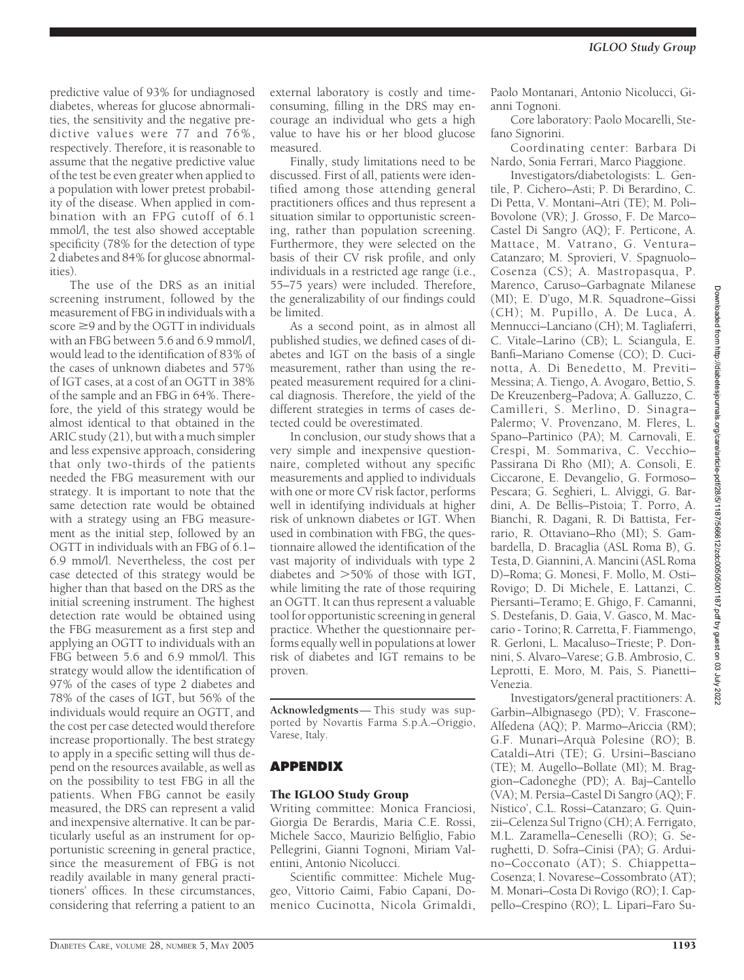predictive value of 93% for undiagnosed diabetes, whereas for glucose abnormalities, the sensitivity and the negative predictive values were 77 and 76%, respectively. Therefore, it is reasonable to assume that the negative predictive value of the test be even greater when applied to a population with lower pretest probability of the disease. When applied in combination with an FPG cutoff of 6.1 mmol/l, the test also showed acceptable specificity (78% for the detection of type 2 diabetes and 84% for glucose abnormalities).

The use of the DRS as an initial screening instrument, followed by the measurement of FBG in individuals with a score  $\geq$ 9 and by the OGTT in individuals with an FBG between 5.6 and 6.9 mmol/l, would lead to the identification of 83% of the cases of unknown diabetes and 57% of IGT cases, at a cost of an OGTT in 38% of the sample and an FBG in 64%. Therefore, the yield of this strategy would be almost identical to that obtained in the ARIC study (21), but with a much simpler and less expensive approach, considering that only two-thirds of the patients needed the FBG measurement with our strategy. It is important to note that the same detection rate would be obtained with a strategy using an FBG measurement as the initial step, followed by an OGTT in individuals with an FBG of 6.1– 6.9 mmol/l. Nevertheless, the cost per case detected of this strategy would be higher than that based on the DRS as the initial screening instrument. The highest detection rate would be obtained using the FBG measurement as a first step and applying an OGTT to individuals with an FBG between 5.6 and 6.9 mmol/l. This strategy would allow the identification of 97% of the cases of type 2 diabetes and 78% of the cases of IGT, but 56% of the individuals would require an OGTT, and the cost per case detected would therefore increase proportionally. The best strategy to apply in a specific setting will thus depend on the resources available, as well as on the possibility to test FBG in all the patients. When FBG cannot be easily measured, the DRS can represent a valid and inexpensive alternative. It can be particularly useful as an instrument for opportunistic screening in general practice, since the measurement of FBG is not readily available in many general practitioners' offices. In these circumstances, considering that referring a patient to an

external laboratory is costly and timeconsuming, filling in the DRS may encourage an individual who gets a high value to have his or her blood glucose measured.

Finally, study limitations need to be discussed. First of all, patients were identified among those attending general practitioners offices and thus represent a situation similar to opportunistic screening, rather than population screening. Furthermore, they were selected on the basis of their CV risk profile, and only individuals in a restricted age range (i.e., 55–75 years) were included. Therefore, the generalizability of our findings could be limited.

As a second point, as in almost all published studies, we defined cases of diabetes and IGT on the basis of a single measurement, rather than using the repeated measurement required for a clinical diagnosis. Therefore, the yield of the different strategies in terms of cases detected could be overestimated.

In conclusion, our study shows that a very simple and inexpensive questionnaire, completed without any specific measurements and applied to individuals with one or more CV risk factor, performs well in identifying individuals at higher risk of unknown diabetes or IGT. When used in combination with FBG, the questionnaire allowed the identification of the vast majority of individuals with type 2 diabetes and  $>50\%$  of those with IGT, while limiting the rate of those requiring an OGTT. It can thus represent a valuable tool for opportunistic screening in general practice. Whether the questionnaire performs equally well in populations at lower risk of diabetes and IGT remains to be proven.

**Acknowledgments**— This study was supported by Novartis Farma S.p.A.–Origgio, Varese, Italy.

## **APPENDIX**

### The IGLOO Study Group

Writing committee: Monica Franciosi, Giorgia De Berardis, Maria C.E. Rossi, Michele Sacco, Maurizio Belfiglio, Fabio Pellegrini, Gianni Tognoni, Miriam Valentini, Antonio Nicolucci.

Scientific committee: Michele Muggeo, Vittorio Caimi, Fabio Capani, Domenico Cucinotta, Nicola Grimaldi,

Paolo Montanari, Antonio Nicolucci, Gianni Tognoni.

Core laboratory: Paolo Mocarelli, Stefano Signorini.

Coordinating center: Barbara Di Nardo, Sonia Ferrari, Marco Piaggione.

Investigators/diabetologists: L. Gentile, P. Cichero–Asti; P. Di Berardino, C. Di Petta, V. Montani–Atri (TE); M. Poli– Bovolone (VR); J. Grosso, F. De Marco– Castel Di Sangro (AQ); F. Perticone, A. Mattace, M. Vatrano, G. Ventura– Catanzaro; M. Sprovieri, V. Spagnuolo– Cosenza (CS); A. Mastropasqua, P. Marenco, Caruso–Garbagnate Milanese (MI); E. D'ugo, M.R. Squadrone–Gissi (CH); M. Pupillo, A. De Luca, A. Mennucci–Lanciano (CH); M. Tagliaferri, C. Vitale–Larino (CB); L. Sciangula, E. Banfi–Mariano Comense (CO); D. Cucinotta, A. Di Benedetto, M. Previti– Messina; A. Tiengo, A. Avogaro, Bettio, S. De Kreuzenberg–Padova; A. Galluzzo, C. Camilleri, S. Merlino, D. Sinagra– Palermo; V. Provenzano, M. Fleres, L. Spano–Partinico (PA); M. Carnovali, E. Crespi, M. Sommariva, C. Vecchio– Passirana Di Rho (MI); A. Consoli, E. Ciccarone, E. Devangelio, G. Formoso– Pescara; G. Seghieri, L. Alviggi, G. Bardini, A. De Bellis–Pistoia; T. Porro, A. Bianchi, R. Dagani, R. Di Battista, Ferrario, R. Ottaviano–Rho (MI); S. Gambardella, D. Bracaglia (ASL Roma B), G. Testa, D. Giannini, A. Mancini (ASL Roma D)–Roma; G. Monesi, F. Mollo, M. Osti– Rovigo; D. Di Michele, E. Lattanzi, C. Piersanti–Teramo; E. Ghigo, F. Camanni, S. Destefanis, D. Gaia, V. Gasco, M. Maccario - Torino; R. Carretta, F. Fiammengo, R. Gerloni, L. Macaluso–Trieste; P. Donnini, S. Alvaro–Varese; G.B. Ambrosio, C. Leprotti, E. Moro, M. Pais, S. Pianetti– Venezia.

Investigators/general practitioners: A. Garbin–Albignasego (PD); V. Frascone– Alfedena (AQ); P. Marmo–Ariccia (RM); G.F. Munari–Arqua` Polesine (RO); B. Cataldi–Atri (TE); G. Ursini–Basciano (TE); M. Augello–Bollate (MI); M. Braggion–Cadoneghe (PD); A. Baj–Cantello (VA); M. Persia–Castel Di Sangro (AQ); F. Nistico', C.L. Rossi–Catanzaro; G. Quinzii–Celenza Sul Trigno (CH); A. Ferrigato, M.L. Zaramella–Ceneselli (RO); G. Serughetti, D. Sofra–Cinisi (PA); G. Arduino–Cocconato (AT); S. Chiappetta– Cosenza; I. Novarese–Cossombrato (AT); M. Monari–Costa Di Rovigo (RO); I. Cappello–Crespino (RO); L. Lipari–Faro Su